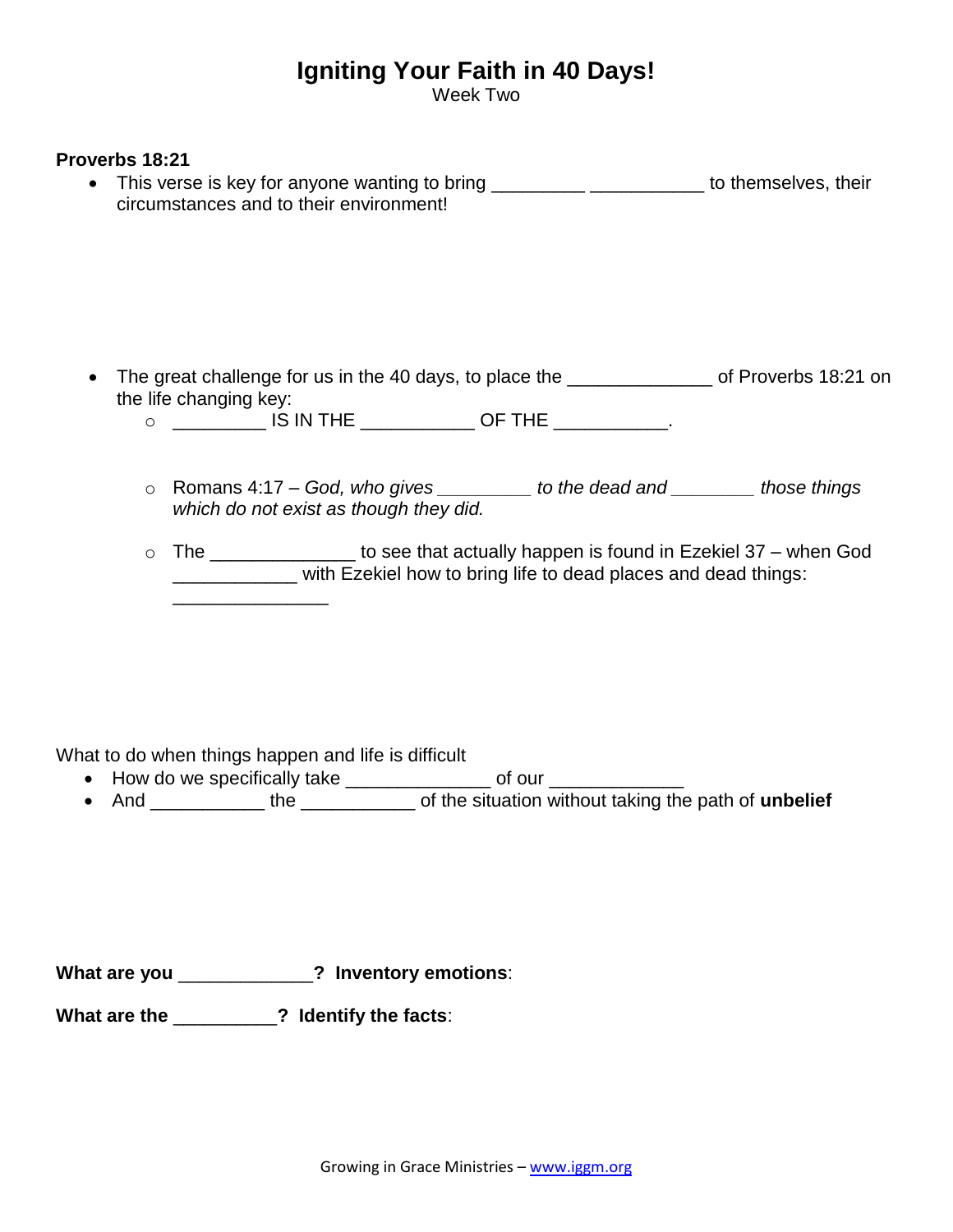## **Igniting Your Faith in 40 Days!**

Week Two

## **Proverbs 18:21**

• This verse is key for anyone wanting to bring \_\_\_\_\_\_\_\_\_\_\_\_\_\_\_\_\_\_\_\_\_\_\_\_\_\_ to themselves, their circumstances and to their environment!

- The great challenge for us in the 40 days, to place the \_\_\_\_\_\_\_\_\_\_\_\_\_\_\_\_ of Proverbs 18:21 on the life changing key:
	- o \_\_\_\_\_\_\_\_\_ IS IN THE \_\_\_\_\_\_\_\_\_\_\_ OF THE \_\_\_\_\_\_\_\_\_\_\_.
	- o Romans 4:17 *God, who gives \_\_\_\_\_\_\_\_\_ to the dead and \_\_\_\_\_\_\_\_ those things which do not exist as though they did.*
	- $\circ$  The \_\_\_\_\_\_\_\_\_\_\_\_\_\_\_ to see that actually happen is found in Ezekiel 37 when God with Ezekiel how to bring life to dead places and dead things: \_\_\_\_\_\_\_\_\_\_\_\_\_\_\_

What to do when things happen and life is difficult

- How do we specifically take \_\_\_\_\_\_\_\_\_\_\_\_\_\_\_\_ of our \_\_\_\_\_\_\_\_\_\_
- And \_\_\_\_\_\_\_\_\_\_\_\_\_ the \_\_\_\_\_\_\_\_\_\_\_\_\_\_ of the situation without taking the path of **unbelief**

**What are you** \_\_\_\_\_\_\_\_\_\_\_\_\_**? Inventory emotions**:

**What are the** \_\_\_\_\_\_\_\_\_\_**? Identify the facts**: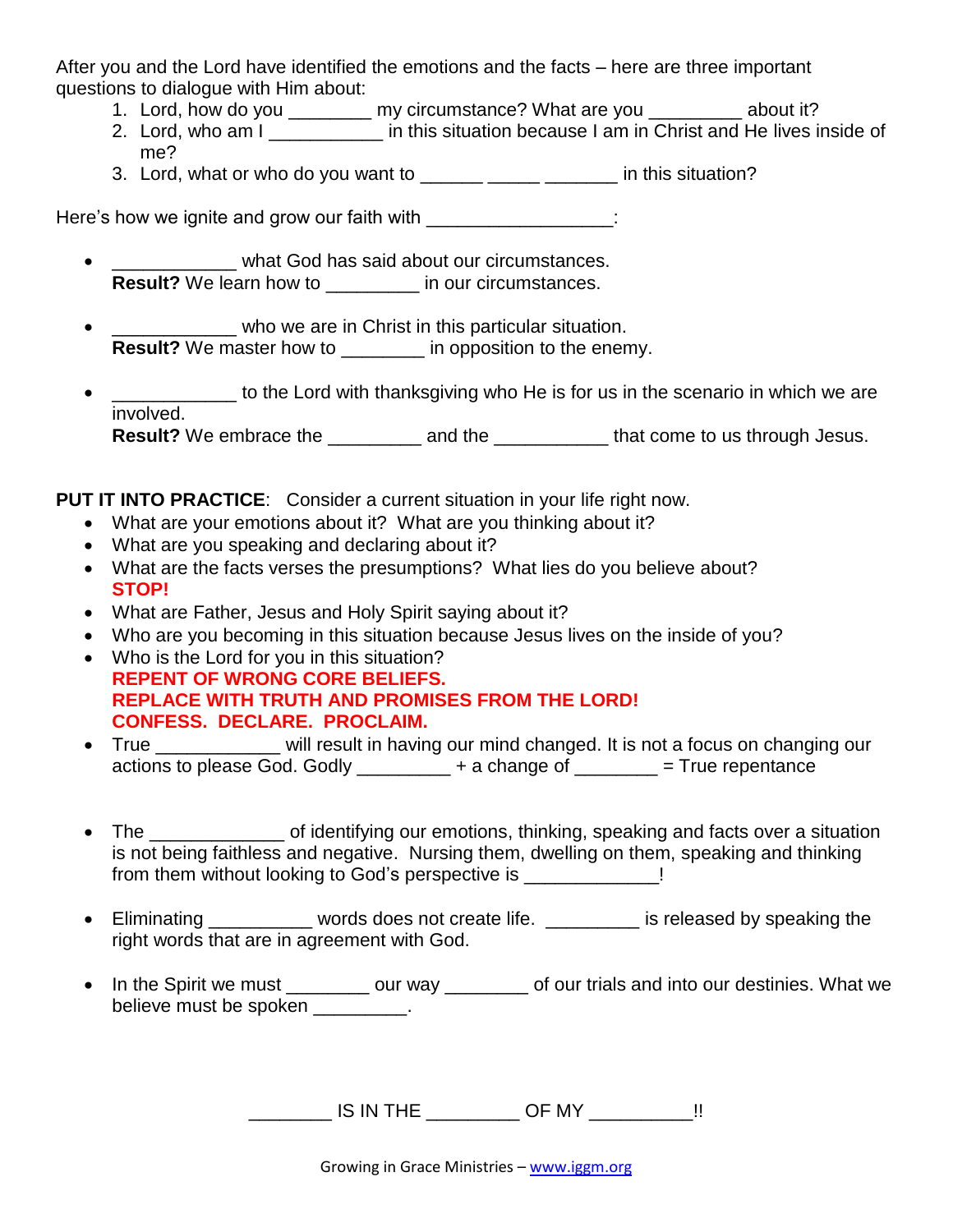After you and the Lord have identified the emotions and the facts – here are three important questions to dialogue with Him about:

- 1. Lord, how do you \_\_\_\_\_\_\_\_ my circumstance? What are you \_\_\_\_\_\_\_\_\_ about it?
- 2. Lord, who am I his situation because I am in Christ and He lives inside of me?
- 3. Lord, what or who do you want to **EXCOCOCOCOCOCOCOCOCOCOCOCOCOCOCOCOCOCOC** in this situation?

Here's how we ignite and grow our faith with \_\_\_\_\_\_\_\_\_\_\_\_\_\_\_\_\_:

- what God has said about our circumstances. **Result?** We learn how to **a** in our circumstances.
- who we are in Christ in this particular situation. **Result?** We master how to \_\_\_\_\_\_\_\_ in opposition to the enemy.
- \_\_\_\_\_\_\_\_\_\_ to the Lord with thanksgiving who He is for us in the scenario in which we are involved. **Result?** We embrace the \_\_\_\_\_\_\_\_\_ and the \_\_\_\_\_\_\_\_\_\_\_\_ that come to us through Jesus.

**PUT IT INTO PRACTICE**: Consider a current situation in your life right now.

- What are your emotions about it? What are you thinking about it?
- What are you speaking and declaring about it?
- What are the facts verses the presumptions? What lies do you believe about? **STOP!**
- What are Father, Jesus and Holy Spirit saying about it?
- Who are you becoming in this situation because Jesus lives on the inside of you?
- Who is the Lord for you in this situation? **REPENT OF WRONG CORE BELIEFS. REPLACE WITH TRUTH AND PROMISES FROM THE LORD! CONFESS. DECLARE. PROCLAIM.**
- True **will result in having our mind changed. It is not a focus on changing our** actions to please God. Godly  $\begin{array}{ccc} + & 1 & + & 1 \\ + & - & - \end{array}$  = True repentance
- The \_\_\_\_\_\_\_\_\_\_\_\_\_ of identifying our emotions, thinking, speaking and facts over a situation is not being faithless and negative. Nursing them, dwelling on them, speaking and thinking from them without looking to God's perspective is  $\qquad \qquad$  !
- Eliminating \_\_\_\_\_\_\_\_\_ words does not create life. \_\_\_\_\_\_\_\_ is released by speaking the right words that are in agreement with God.
- In the Spirit we must \_\_\_\_\_\_\_\_ our way \_\_\_\_\_\_\_\_ of our trials and into our destinies. What we believe must be spoken and setting the setting of the spoken of  $\sim$

\_\_\_\_\_\_\_\_ IS IN THE \_\_\_\_\_\_\_\_\_ OF MY \_\_\_\_\_\_\_\_\_\_!!